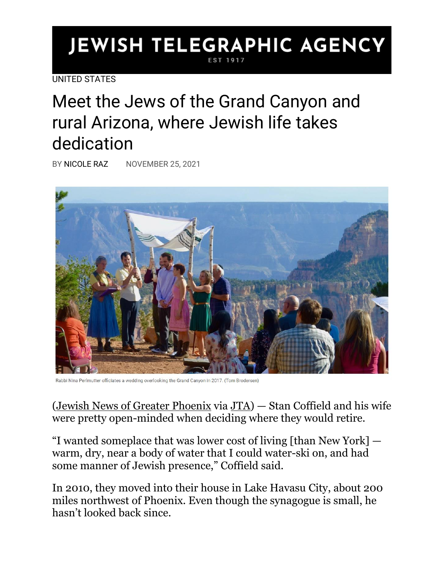## **JEWISH TELEGRAPHIC AGENCY** EST 1917

[UNITED STATES](https://www.jta.org/category/united-states)

Meet the Jews of the Grand Canyon and rural Arizona, where Jewish life takes dedication

BY [NICOLE RAZ](https://www.jta.org/author/nicole-raz) NOVEMBER 25, 2021



Rabbi Nina Perlmutter officiates a wedding overlooking the Grand Canyon in 2017. (Tom Brodersen)

[\(Jewish News of Greater Phoenix](https://www.jewishaz.com/community/finding-jewish-community-in-rural-remote-landscapes/article_e0a5eec2-496d-11ec-b2fe-e797dba33dda.html) via [JTA\)](http://jta.org/) — Stan Coffield and his wife were pretty open-minded when deciding where they would retire.

"I wanted someplace that was lower cost of living [than New York] warm, dry, near a body of water that I could water-ski on, and had some manner of Jewish presence," Coffield said.

In 2010, they moved into their house in Lake Havasu City, about 200 miles northwest of Phoenix. Even though the synagogue is small, he hasn't looked back since.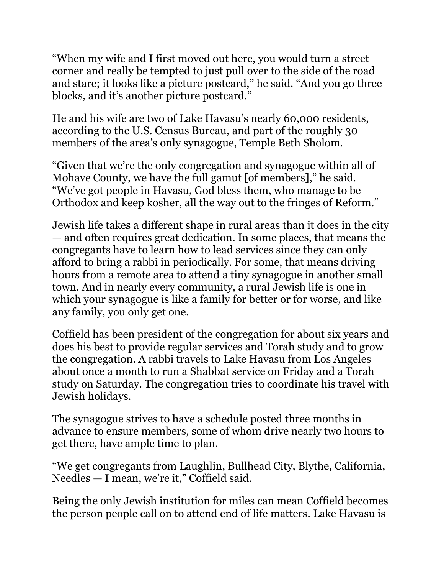"When my wife and I first moved out here, you would turn a street corner and really be tempted to just pull over to the side of the road and stare; it looks like a picture postcard," he said. "And you go three blocks, and it's another picture postcard."

He and his wife are two of Lake Havasu's nearly 60,000 residents, according to the U.S. Census Bureau, and part of the roughly 30 members of the area's only synagogue, Temple Beth Sholom.

"Given that we're the only congregation and synagogue within all of Mohave County, we have the full gamut [of members]," he said. "We've got people in Havasu, God bless them, who manage to be Orthodox and keep kosher, all the way out to the fringes of Reform."

Jewish life takes a different shape in rural areas than it does in the city — and often requires great dedication. In some places, that means the congregants have to learn how to lead services since they can only afford to bring a rabbi in periodically. For some, that means driving hours from a remote area to attend a tiny synagogue in another small town. And in nearly every community, a rural Jewish life is one in which your synagogue is like a family for better or for worse, and like any family, you only get one.

Coffield has been president of the congregation for about six years and does his best to provide regular services and Torah study and to grow the congregation. A rabbi travels to Lake Havasu from Los Angeles about once a month to run a Shabbat service on Friday and a Torah study on Saturday. The congregation tries to coordinate his travel with Jewish holidays.

The synagogue strives to have a schedule posted three months in advance to ensure members, some of whom drive nearly two hours to get there, have ample time to plan.

"We get congregants from Laughlin, Bullhead City, Blythe, California, Needles — I mean, we're it," Coffield said.

Being the only Jewish institution for miles can mean Coffield becomes the person people call on to attend end of life matters. Lake Havasu is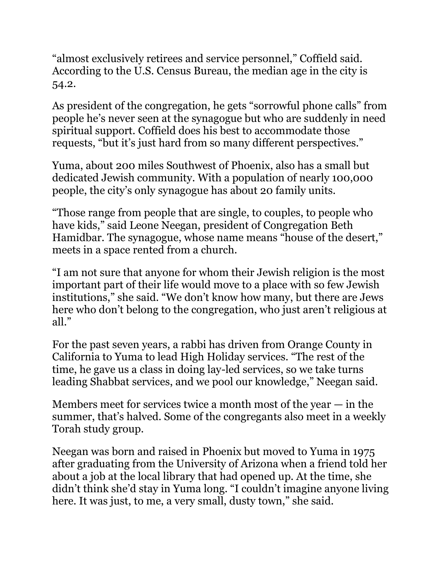"almost exclusively retirees and service personnel," Coffield said. According to the U.S. Census Bureau, the median age in the city is 54.2.

As president of the congregation, he gets "sorrowful phone calls" from people he's never seen at the synagogue but who are suddenly in need spiritual support. Coffield does his best to accommodate those requests, "but it's just hard from so many different perspectives."

Yuma, about 200 miles Southwest of Phoenix, also has a small but dedicated Jewish community. With a population of nearly 100,000 people, the city's only synagogue has about 20 family units.

"Those range from people that are single, to couples, to people who have kids," said Leone Neegan, president of Congregation Beth Hamidbar. The synagogue, whose name means "house of the desert," meets in a space rented from a church.

"I am not sure that anyone for whom their Jewish religion is the most important part of their life would move to a place with so few Jewish institutions," she said. "We don't know how many, but there are Jews here who don't belong to the congregation, who just aren't religious at all."

For the past seven years, a rabbi has driven from Orange County in California to Yuma to lead High Holiday services. "The rest of the time, he gave us a class in doing lay-led services, so we take turns leading Shabbat services, and we pool our knowledge," Neegan said.

Members meet for services twice a month most of the year  $-$  in the summer, that's halved. Some of the congregants also meet in a weekly Torah study group.

Neegan was born and raised in Phoenix but moved to Yuma in 1975 after graduating from the University of Arizona when a friend told her about a job at the local library that had opened up. At the time, she didn't think she'd stay in Yuma long. "I couldn't imagine anyone living here. It was just, to me, a very small, dusty town," she said.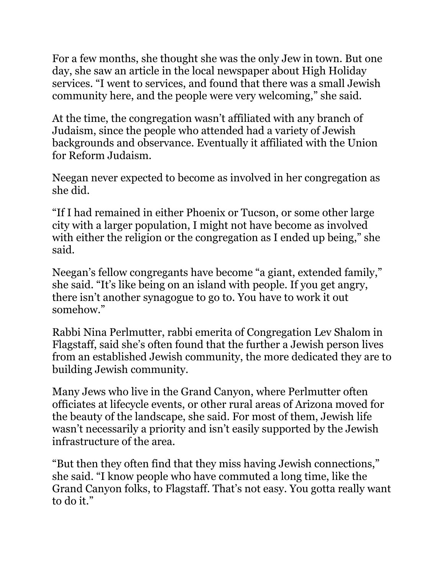For a few months, she thought she was the only Jew in town. But one day, she saw an article in the local newspaper about High Holiday services. "I went to services, and found that there was a small Jewish community here, and the people were very welcoming," she said.

At the time, the congregation wasn't affiliated with any branch of Judaism, since the people who attended had a variety of Jewish backgrounds and observance. Eventually it affiliated with the Union for Reform Judaism.

Neegan never expected to become as involved in her congregation as she did.

"If I had remained in either Phoenix or Tucson, or some other large city with a larger population, I might not have become as involved with either the religion or the congregation as I ended up being," she said.

Neegan's fellow congregants have become "a giant, extended family," she said. "It's like being on an island with people. If you get angry, there isn't another synagogue to go to. You have to work it out somehow."

Rabbi Nina Perlmutter, rabbi emerita of Congregation Lev Shalom in Flagstaff, said she's often found that the further a Jewish person lives from an established Jewish community, the more dedicated they are to building Jewish community.

Many Jews who live in the Grand Canyon, where Perlmutter often officiates at lifecycle events, or other rural areas of Arizona moved for the beauty of the landscape, she said. For most of them, Jewish life wasn't necessarily a priority and isn't easily supported by the Jewish infrastructure of the area.

"But then they often find that they miss having Jewish connections," she said. "I know people who have commuted a long time, like the Grand Canyon folks, to Flagstaff. That's not easy. You gotta really want to do it."